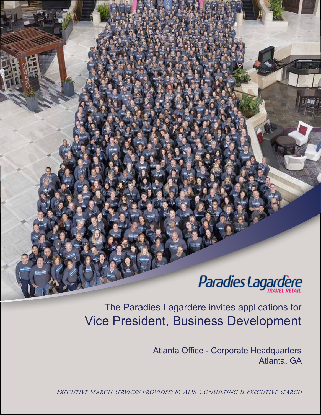# Paradies Lagardère

Vice President, Business Development The Paradies Lagardère invites applications for

> Atlanta Office - Corporate Headquarters Atlanta, GA

Executive Search Services Provided By ADK Consulting & Executive Search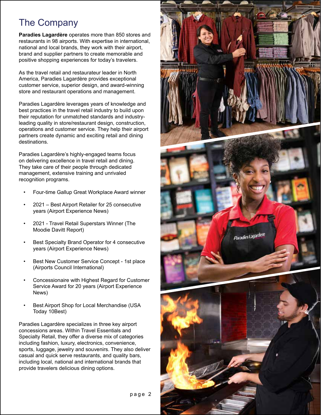### The Company

**Paradies Lagardère** operates more than 850 stores and restaurants in 98 airports. With expertise in international, national and local brands, they work with their airport, brand and supplier partners to create memorable and positive shopping experiences for today's travelers.

As the travel retail and restaurateur leader in North America, Paradies Lagardère provides exceptional customer service, superior design, and award-winning store and restaurant operations and management.

Paradies Lagardère leverages years of knowledge and best practices in the travel retail industry to build upon their reputation for unmatched standards and industryleading quality in store/restaurant design, construction, operations and customer service. They help their airport partners create dynamic and exciting retail and dining destinations.

Paradies Lagardère's highly-engaged teams focus on delivering excellence in travel retail and dining. They take care of their people through dedicated management, extensive training and unrivaled recognition programs.

- Four-time Gallup Great Workplace Award winner
- 2021 Best Airport Retailer for 25 consecutive years (Airport Experience News)
- 2021 Travel Retail Superstars Winner (The Moodie Davitt Report)
- Best Specialty Brand Operator for 4 consecutive years (Airport Experience News)
- Best New Customer Service Concept 1st place (Airports Council International)
- Concessionaire with Highest Regard for Customer Service Award for 20 years (Airport Experience News)
- Best Airport Shop for Local Merchandise (USA Today 10Best)

Paradies Lagardère specializes in three key airport concessions areas. Within Travel Essentials and Specialty Retail, they offer a diverse mix of categories including fashion, luxury, electronics, convenience, sports, luggage, jewelry and souvenirs. They also deliver casual and quick serve restaurants, and quality bars, including local, national and international brands that provide travelers delicious dining options.

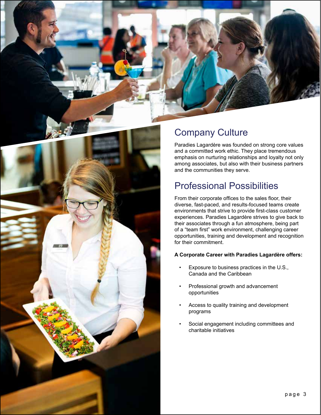

# Company Culture

Paradies Lagardère was founded on strong core values and a committed work ethic. They place tremendous emphasis on nurturing relationships and loyalty not only among associates, but also with their business partners and the communities they serve.

### Professional Possibilities

From their corporate offices to the sales floor, their diverse, fast-paced, and results-focused teams create environments that strive to provide first-class customer experiences. Paradies Lagardère strives to give back to their associates through a fun atmosphere, being part of a "team first" work environment, challenging career opportunities, training and development and recognition for their commitment.

#### **A Corporate Career with Paradies Lagardère offers:**

- Exposure to business practices in the U.S., Canada and the Caribbean
- Professional growth and advancement opportunities
- Access to quality training and development programs
- Social engagement including committees and charitable initiatives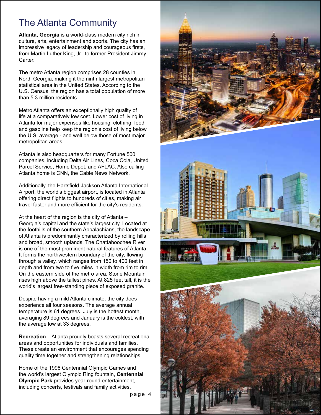### The Atlanta Community

**Atlanta, Georgia** is a world-class modern city rich in culture, arts, entertainment and sports. The city has an impressive legacy of leadership and courageous firsts, from Martin Luther King, Jr., to former President Jimmy Carter.

The metro Atlanta region comprises 28 counties in North Georgia, making it the ninth largest metropolitan statistical area in the United States. According to the U.S. Census, the region has a total population of more than 5.3 million residents.

Metro Atlanta offers an exceptionally high quality of life at a comparatively low cost. Lower cost of living in Atlanta for major expenses like housing, clothing, food and gasoline help keep the region's cost of living below the U.S. average - and well below those of most major metropolitan areas.

Atlanta is also headquarters for many Fortune 500 companies, including Delta Air Lines, Coca Cola, United Parcel Service, Home Depot, and AFLAC. Also calling Atlanta home is CNN, the Cable News Network.

Additionally, the Hartsfield-Jackson Atlanta International Airport, the world's biggest airport, is located in Atlanta offering direct flights to hundreds of cities, making air travel faster and more efficient for the city's residents.

At the heart of the region is the city of Atlanta – Georgia's capital and the state's largest city. Located at the foothills of the southern Appalachians, the landscape of Atlanta is predominantly characterized by rolling hills and broad, smooth uplands. The Chattahoochee River is one of the most prominent natural features of Atlanta. It forms the northwestern boundary of the city, flowing through a valley, which ranges from 150 to 400 feet in depth and from two to five miles in width from rim to rim. On the eastern side of the metro area, Stone Mountain rises high above the tallest pines. At 825 feet tall, it is the world's largest free-standing piece of exposed granite.

Despite having a mild Atlanta climate, the city does experience all four seasons. The average annual temperature is 61 degrees. July is the hottest month, averaging 89 degrees and January is the coldest, with the average low at 33 degrees.

**Recreation** – Atlanta proudly boasts several recreational areas and opportunities for individuals and families. These create an environment that encourages spending quality time together and strengthening relationships.

Home of the 1996 Centennial Olympic Games and the world's largest Olympic Ring fountain, **Centennial Olympic Park** provides year-round entertainment, including concerts, festivals and family activities.

page 4